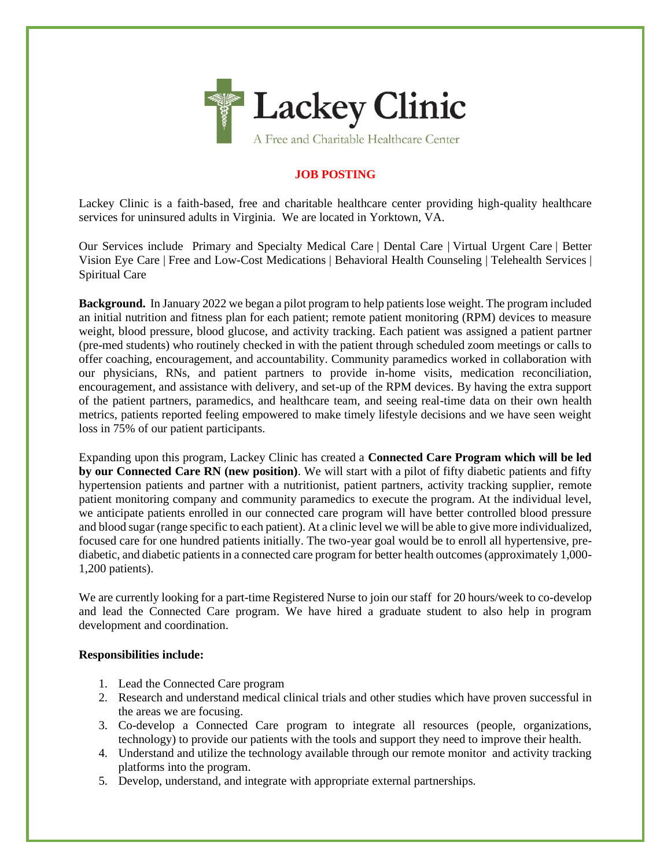

## **JOB POSTING**

Lackey Clinic is a faith-based, free and charitable healthcare center providing high-quality healthcare services for uninsured adults in Virginia. We are located in Yorktown, VA.

Our Services include Primary and Specialty Medical Care | Dental Care | Virtual Urgent Care | Better Vision Eye Care | Free and Low-Cost Medications | Behavioral Health Counseling | Telehealth Services | Spiritual Care

**Background.** In January 2022 we began a pilot program to help patients lose weight. The program included an initial nutrition and fitness plan for each patient; remote patient monitoring (RPM) devices to measure weight, blood pressure, blood glucose, and activity tracking. Each patient was assigned a patient partner (pre-med students) who routinely checked in with the patient through scheduled zoom meetings or calls to offer coaching, encouragement, and accountability. Community paramedics worked in collaboration with our physicians, RNs, and patient partners to provide in-home visits, medication reconciliation, encouragement, and assistance with delivery, and set-up of the RPM devices. By having the extra support of the patient partners, paramedics, and healthcare team, and seeing real-time data on their own health metrics, patients reported feeling empowered to make timely lifestyle decisions and we have seen weight loss in 75% of our patient participants.

Expanding upon this program, Lackey Clinic has created a **Connected Care Program which will be led by our Connected Care RN (new position)**. We will start with a pilot of fifty diabetic patients and fifty hypertension patients and partner with a nutritionist, patient partners, activity tracking supplier, remote patient monitoring company and community paramedics to execute the program. At the individual level, we anticipate patients enrolled in our connected care program will have better controlled blood pressure and blood sugar (range specific to each patient). At a clinic level we will be able to give more individualized, focused care for one hundred patients initially. The two-year goal would be to enroll all hypertensive, prediabetic, and diabetic patients in a connected care program for better health outcomes (approximately 1,000- 1,200 patients).

We are currently looking for a part-time Registered Nurse to join our staff for 20 hours/week to co-develop and lead the Connected Care program. We have hired a graduate student to also help in program development and coordination.

## **Responsibilities include:**

- 1. Lead the Connected Care program
- 2. Research and understand medical clinical trials and other studies which have proven successful in the areas we are focusing.
- 3. Co-develop a Connected Care program to integrate all resources (people, organizations, technology) to provide our patients with the tools and support they need to improve their health.
- 4. Understand and utilize the technology available through our remote monitor and activity tracking platforms into the program.
- 5. Develop, understand, and integrate with appropriate external partnerships.